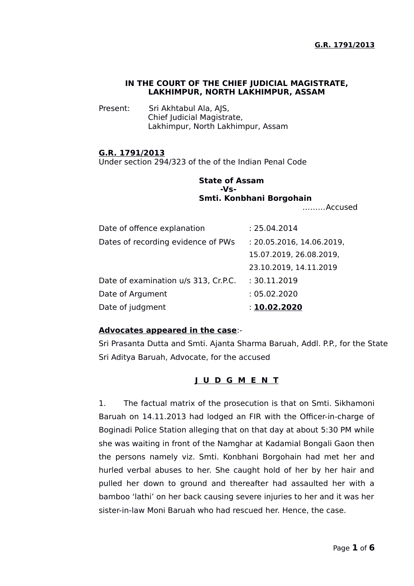## **IN THE COURT OF THE CHIEF JUDICIAL MAGISTRATE, LAKHIMPUR, NORTH LAKHIMPUR, ASSAM**

Present: Sri Akhtabul Ala, AJS, Chief Judicial Magistrate, Lakhimpur, North Lakhimpur, Assam

## **G.R. 1791/2013**

Under section 294/323 of the of the Indian Penal Code

# **State of Assam -Vs-Smti. Konbhani Borgohain**

………Accused

| Date of offence explanation          | : 25.04.2014              |
|--------------------------------------|---------------------------|
| Dates of recording evidence of PWs   | : 20.05.2016, 14.06.2019, |
|                                      | 15.07.2019, 26.08.2019,   |
|                                      | 23.10.2019, 14.11.2019    |
| Date of examination u/s 313, Cr.P.C. | : 30.11.2019              |
| Date of Argument                     | : 05.02.2020              |
| Date of judgment                     | : 10.02.2020              |

#### **Advocates appeared in the case**:-

Sri Prasanta Dutta and Smti. Ajanta Sharma Baruah, Addl. P.P., for the State Sri Aditya Baruah, Advocate, for the accused

## **J U D G M E N T**

1. The factual matrix of the prosecution is that on Smti. Sikhamoni Baruah on 14.11.2013 had lodged an FIR with the Officer-in-charge of Boginadi Police Station alleging that on that day at about 5:30 PM while she was waiting in front of the Namghar at Kadamial Bongali Gaon then the persons namely viz. Smti. Konbhani Borgohain had met her and hurled verbal abuses to her. She caught hold of her by her hair and pulled her down to ground and thereafter had assaulted her with a bamboo 'lathi' on her back causing severe injuries to her and it was her sister-in-law Moni Baruah who had rescued her. Hence, the case.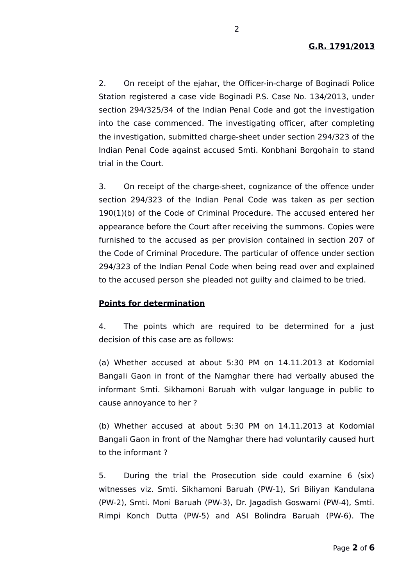2. On receipt of the ejahar, the Officer-in-charge of Boginadi Police Station registered a case vide Boginadi P.S. Case No. 134/2013, under section 294/325/34 of the Indian Penal Code and got the investigation into the case commenced. The investigating officer, after completing the investigation, submitted charge-sheet under section 294/323 of the Indian Penal Code against accused Smti. Konbhani Borgohain to stand trial in the Court.

3. On receipt of the charge-sheet, cognizance of the offence under section 294/323 of the Indian Penal Code was taken as per section 190(1)(b) of the Code of Criminal Procedure. The accused entered her appearance before the Court after receiving the summons. Copies were furnished to the accused as per provision contained in section 207 of the Code of Criminal Procedure. The particular of offence under section 294/323 of the Indian Penal Code when being read over and explained to the accused person she pleaded not guilty and claimed to be tried.

#### **Points for determination**

4. The points which are required to be determined for a just decision of this case are as follows:

(a) Whether accused at about 5:30 PM on 14.11.2013 at Kodomial Bangali Gaon in front of the Namghar there had verbally abused the informant Smti. Sikhamoni Baruah with vulgar language in public to cause annoyance to her ?

(b) Whether accused at about 5:30 PM on 14.11.2013 at Kodomial Bangali Gaon in front of the Namghar there had voluntarily caused hurt to the informant ?

5. During the trial the Prosecution side could examine 6 (six) witnesses viz. Smti. Sikhamoni Baruah (PW-1), Sri Biliyan Kandulana (PW-2), Smti. Moni Baruah (PW-3), Dr. Jagadish Goswami (PW-4), Smti. Rimpi Konch Dutta (PW-5) and ASI Bolindra Baruah (PW-6). The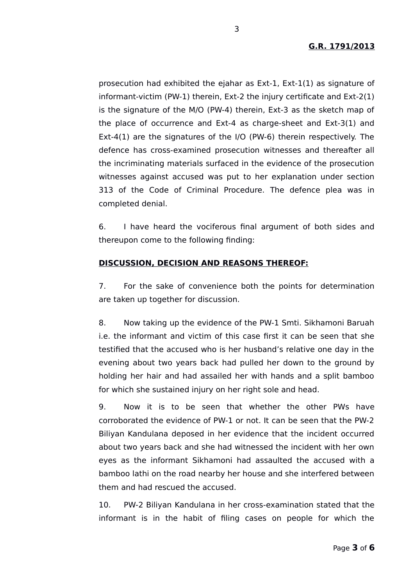prosecution had exhibited the ejahar as Ext-1, Ext-1(1) as signature of informant-victim (PW-1) therein, Ext-2 the injury certificate and Ext-2(1) is the signature of the M/O (PW-4) therein, Ext-3 as the sketch map of the place of occurrence and Ext-4 as charge-sheet and Ext-3(1) and Ext-4(1) are the signatures of the I/O (PW-6) therein respectively. The defence has cross-examined prosecution witnesses and thereafter all the incriminating materials surfaced in the evidence of the prosecution witnesses against accused was put to her explanation under section 313 of the Code of Criminal Procedure. The defence plea was in completed denial.

6. I have heard the vociferous final argument of both sides and thereupon come to the following finding:

# **DISCUSSION, DECISION AND REASONS THEREOF:**

7. For the sake of convenience both the points for determination are taken up together for discussion.

8. Now taking up the evidence of the PW-1 Smti. Sikhamoni Baruah i.e. the informant and victim of this case first it can be seen that she testified that the accused who is her husband's relative one day in the evening about two years back had pulled her down to the ground by holding her hair and had assailed her with hands and a split bamboo for which she sustained injury on her right sole and head.

9. Now it is to be seen that whether the other PWs have corroborated the evidence of PW-1 or not. It can be seen that the PW-2 Biliyan Kandulana deposed in her evidence that the incident occurred about two years back and she had witnessed the incident with her own eyes as the informant Sikhamoni had assaulted the accused with a bamboo lathi on the road nearby her house and she interfered between them and had rescued the accused.

10. PW-2 Biliyan Kandulana in her cross-examination stated that the informant is in the habit of filing cases on people for which the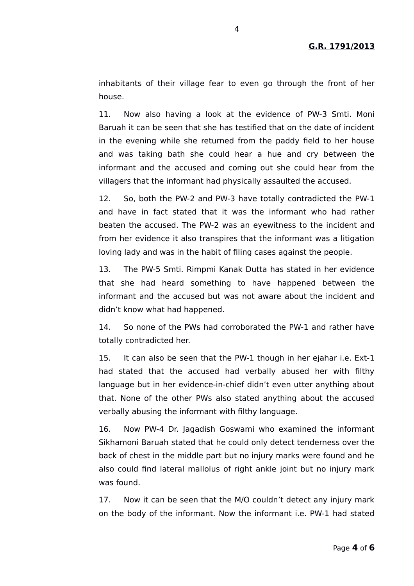inhabitants of their village fear to even go through the front of her house.

11. Now also having a look at the evidence of PW-3 Smti. Moni Baruah it can be seen that she has testified that on the date of incident in the evening while she returned from the paddy field to her house and was taking bath she could hear a hue and cry between the informant and the accused and coming out she could hear from the villagers that the informant had physically assaulted the accused.

12. So, both the PW-2 and PW-3 have totally contradicted the PW-1 and have in fact stated that it was the informant who had rather beaten the accused. The PW-2 was an eyewitness to the incident and from her evidence it also transpires that the informant was a litigation loving lady and was in the habit of filing cases against the people.

13. The PW-5 Smti. Rimpmi Kanak Dutta has stated in her evidence that she had heard something to have happened between the informant and the accused but was not aware about the incident and didn't know what had happened.

14. So none of the PWs had corroborated the PW-1 and rather have totally contradicted her.

15. It can also be seen that the PW-1 though in her ejahar i.e. Ext-1 had stated that the accused had verbally abused her with filthy language but in her evidence-in-chief didn't even utter anything about that. None of the other PWs also stated anything about the accused verbally abusing the informant with filthy language.

16. Now PW-4 Dr. Jagadish Goswami who examined the informant Sikhamoni Baruah stated that he could only detect tenderness over the back of chest in the middle part but no injury marks were found and he also could find lateral mallolus of right ankle joint but no injury mark was found.

17. Now it can be seen that the M/O couldn't detect any injury mark on the body of the informant. Now the informant i.e. PW-1 had stated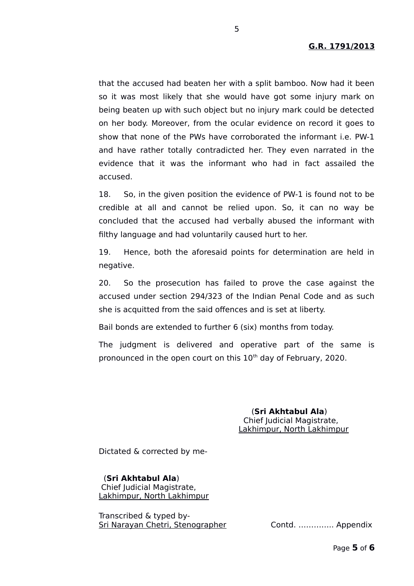that the accused had beaten her with a split bamboo. Now had it been so it was most likely that she would have got some injury mark on being beaten up with such object but no injury mark could be detected on her body. Moreover, from the ocular evidence on record it goes to show that none of the PWs have corroborated the informant i.e. PW-1 and have rather totally contradicted her. They even narrated in the evidence that it was the informant who had in fact assailed the accused.

18. So, in the given position the evidence of PW-1 is found not to be credible at all and cannot be relied upon. So, it can no way be concluded that the accused had verbally abused the informant with filthy language and had voluntarily caused hurt to her.

19. Hence, both the aforesaid points for determination are held in negative.

20. So the prosecution has failed to prove the case against the accused under section 294/323 of the Indian Penal Code and as such she is acquitted from the said offences and is set at liberty.

Bail bonds are extended to further 6 (six) months from today.

The judgment is delivered and operative part of the same is pronounced in the open court on this  $10<sup>th</sup>$  day of February, 2020.

> (**Sri Akhtabul Ala**) Chief Judicial Magistrate, Lakhimpur, North Lakhimpur

Dictated & corrected by me-

 (**Sri Akhtabul Ala**) Chief Judicial Magistrate, Lakhimpur, North Lakhimpur

Transcribed & typed by-Sri Narayan Chetri, Stenographer Contd. ………….. Appendix

5